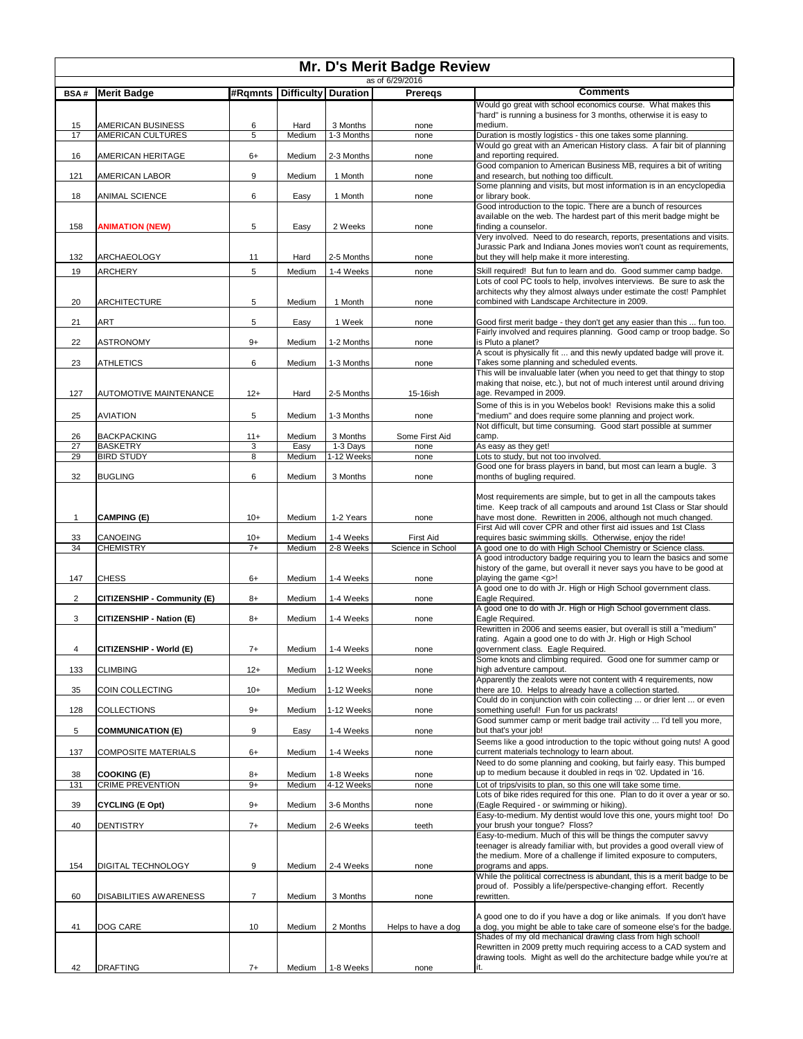| Mr. D's Merit Badge Review<br>as of 6/29/2016 |                                               |                |                   |                        |                     |                                                                                                                                               |  |
|-----------------------------------------------|-----------------------------------------------|----------------|-------------------|------------------------|---------------------|-----------------------------------------------------------------------------------------------------------------------------------------------|--|
| <b>BSA#</b>                                   | <b>Merit Badge</b>                            | #Rqmnts        | <b>Difficulty</b> | <b>Duration</b>        | Preregs             | <b>Comments</b>                                                                                                                               |  |
|                                               |                                               |                |                   |                        |                     | Would go great with school economics course. What makes this                                                                                  |  |
|                                               |                                               |                |                   |                        |                     | "hard" is running a business for 3 months, otherwise it is easy to                                                                            |  |
| 15<br>17                                      | <b>AMERICAN BUSINESS</b><br>AMERICAN CULTURES | 6<br>5         | Hard<br>Medium    | 3 Months<br>1-3 Months | none<br>none        | medium.<br>Duration is mostly logistics - this one takes some planning.                                                                       |  |
|                                               |                                               |                |                   |                        |                     | Would go great with an American History class. A fair bit of planning                                                                         |  |
| 16                                            | AMERICAN HERITAGE                             | $6+$           | Medium            | 2-3 Months             | none                | and reporting required.<br>Good companion to American Business MB, requires a bit of writing                                                  |  |
| 121                                           | AMERICAN LABOR                                | 9              | Medium            | 1 Month                | none                | and research, but nothing too difficult.                                                                                                      |  |
|                                               |                                               |                |                   |                        |                     | Some planning and visits, but most information is in an encyclopedia                                                                          |  |
| 18                                            | ANIMAL SCIENCE                                | 6              | Easy              | 1 Month                | none                | or library book.<br>Good introduction to the topic. There are a bunch of resources                                                            |  |
|                                               |                                               |                |                   |                        |                     | available on the web. The hardest part of this merit badge might be                                                                           |  |
| 158                                           | <b>ANIMATION (NEW)</b>                        | 5              | Easy              | 2 Weeks                | none                | finding a counselor.<br>Very involved. Need to do research, reports, presentations and visits.                                                |  |
|                                               |                                               |                |                   |                        |                     | Jurassic Park and Indiana Jones movies won't count as requirements,                                                                           |  |
| 132                                           | ARCHAEOLOGY                                   | 11             | Hard              | 2-5 Months             | none                | but they will help make it more interesting.                                                                                                  |  |
| 19                                            | <b>ARCHERY</b>                                | 5              | Medium            | 1-4 Weeks              | none                | Skill required! But fun to learn and do. Good summer camp badge.                                                                              |  |
|                                               |                                               |                |                   |                        |                     | Lots of cool PC tools to help, involves interviews. Be sure to ask the<br>architects why they almost always under estimate the cost! Pamphlet |  |
| 20                                            | <b>ARCHITECTURE</b>                           | 5              | Medium            | 1 Month                | none                | combined with Landscape Architecture in 2009.                                                                                                 |  |
| 21                                            | <b>ART</b>                                    | 5              | Easy              | 1 Week                 | none                | Good first merit badge - they don't get any easier than this  fun too.                                                                        |  |
|                                               |                                               |                |                   |                        |                     | Fairly involved and requires planning. Good camp or troop badge. So                                                                           |  |
| 22                                            | <b>ASTRONOMY</b>                              | $9+$           | Medium            | 1-2 Months             | none                | is Pluto a planet?                                                                                                                            |  |
| 23                                            | <b>ATHLETICS</b>                              | 6              | Medium            | 1-3 Months             | none                | A scout is physically fit  and this newly updated badge will prove it.<br>Takes some planning and scheduled events.                           |  |
|                                               |                                               |                |                   |                        |                     | This will be invaluable later (when you need to get that thingy to stop                                                                       |  |
| 127                                           | <b>AUTOMOTIVE MAINTENANCE</b>                 | $12+$          | Hard              | 2-5 Months             | 15-16ish            | making that noise, etc.), but not of much interest until around driving<br>age. Revamped in 2009.                                             |  |
|                                               |                                               |                |                   |                        |                     | Some of this is in you Webelos book! Revisions make this a solid                                                                              |  |
| 25                                            | <b>AVIATION</b>                               | 5              | Medium            | 1-3 Months             | none                | "medium" and does require some planning and project work.                                                                                     |  |
| 26                                            | <b>BACKPACKING</b>                            | $11+$          | Medium            | 3 Months               | Some First Aid      | Not difficult, but time consuming. Good start possible at summer<br>camp.                                                                     |  |
| 27                                            | <b>BASKETRY</b>                               | 3              | Easy              | 1-3 Days               | none                | As easy as they get!                                                                                                                          |  |
| 29                                            | <b>BIRD STUDY</b>                             | 8              | Medium            | 1-12 Weeks             | none                | Lots to study, but not too involved.<br>Good one for brass players in band, but most can learn a bugle. 3                                     |  |
| 32                                            | <b>BUGLING</b>                                | 6              | Medium            | 3 Months               | none                | months of bugling required.                                                                                                                   |  |
|                                               |                                               |                |                   |                        |                     |                                                                                                                                               |  |
|                                               |                                               |                |                   |                        |                     | Most requirements are simple, but to get in all the campouts takes<br>time. Keep track of all campouts and around 1st Class or Star should    |  |
| $\mathbf{1}$                                  | <b>CAMPING (E)</b>                            | $10+$          | Medium            | 1-2 Years              | none                | have most done. Rewritten in 2006, although not much changed.                                                                                 |  |
| 33                                            | CANOEING                                      | $10+$          | Medium            | 1-4 Weeks              | <b>First Aid</b>    | First Aid will cover CPR and other first aid issues and 1st Class<br>requires basic swimming skills. Otherwise, enjoy the ride!               |  |
| 34                                            | <b>CHEMISTRY</b>                              | $7+$           | Medium            | 2-8 Weeks              | Science in School   | A good one to do with High School Chemistry or Science class.                                                                                 |  |
|                                               |                                               |                |                   |                        |                     | A good introductory badge requiring you to learn the basics and some                                                                          |  |
| 147                                           | <b>CHESS</b>                                  | 6+             | Medium            | 1-4 Weeks              | none                | history of the game, but overall it never says you have to be good at<br>playing the game <g>!</g>                                            |  |
|                                               |                                               |                |                   |                        |                     | A good one to do with Jr. High or High School government class.                                                                               |  |
| $\sqrt{2}$                                    | CITIZENSHIP - Community (E)                   | $8+$           | Medium            | 1-4 Weeks              | none                | Eagle Required.<br>A good one to do with Jr. High or High School government class.                                                            |  |
| 3                                             | CITIZENSHIP - Nation (E)                      | $8+$           | Medium            | 1-4 Weeks              | none                | Eagle Required.                                                                                                                               |  |
|                                               |                                               |                |                   |                        |                     | Rewritten in 2006 and seems easier, but overall is still a "medium"<br>rating. Again a good one to do with Jr. High or High School            |  |
| 4                                             | CITIZENSHIP - World (E)                       | $7+$           | Medium            | 1-4 Weeks              | none                | government class. Eagle Required.                                                                                                             |  |
|                                               |                                               |                |                   |                        |                     | Some knots and climbing required. Good one for summer camp or                                                                                 |  |
| 133                                           | <b>CLIMBING</b>                               | $12+$          | Medium            | 1-12 Weeks             | none                | high adventure campout.<br>Apparently the zealots were not content with 4 requirements, now                                                   |  |
| 35                                            | COIN COLLECTING                               | $10+$          | Medium            | 1-12 Weeks             | none                | there are 10. Helps to already have a collection started.                                                                                     |  |
| 128                                           | <b>COLLECTIONS</b>                            | $9+$           | Medium            | 1-12 Weeks             | none                | Could do in conjunction with coin collecting  or drier lent  or even<br>something useful! Fun for us packrats!                                |  |
|                                               |                                               |                |                   |                        |                     | Good summer camp or merit badge trail activity  I'd tell you more,                                                                            |  |
| 5                                             | <b>COMMUNICATION (E)</b>                      | 9              | Easy              | 1-4 Weeks              | none                | but that's your job!                                                                                                                          |  |
| 137                                           | <b>COMPOSITE MATERIALS</b>                    | $6+$           | Medium            | 1-4 Weeks              | none                | Seems like a good introduction to the topic without going nuts! A good<br>current materials technology to learn about.                        |  |
|                                               |                                               |                |                   |                        |                     | Need to do some planning and cooking, but fairly easy. This bumped                                                                            |  |
| 38                                            | <b>COOKING (E)</b>                            | $8+$           | Medium            | 1-8 Weeks              | none                | up to medium because it doubled in regs in '02. Updated in '16.                                                                               |  |
| 131                                           | <b>CRIME PREVENTION</b>                       | $9+$           | Medium            | 4-12 Weeks             | none                | Lot of trips/visits to plan, so this one will take some time.<br>Lots of bike rides required for this one. Plan to do it over a year or so.   |  |
| 39                                            | <b>CYCLING (E Opt)</b>                        | $9+$           | Medium            | 3-6 Months             | none                | (Eagle Required - or swimming or hiking).                                                                                                     |  |
| 40                                            | <b>DENTISTRY</b>                              | $7+$           | Medium            | 2-6 Weeks              | teeth               | Easy-to-medium. My dentist would love this one, yours might too! Do<br>your brush your tongue? Floss?                                         |  |
|                                               |                                               |                |                   |                        |                     | Easy-to-medium. Much of this will be things the computer savvy                                                                                |  |
|                                               |                                               |                |                   |                        |                     | teenager is already familiar with, but provides a good overall view of                                                                        |  |
| 154                                           | DIGITAL TECHNOLOGY                            | 9              | Medium            | 2-4 Weeks              | none                | the medium. More of a challenge if limited exposure to computers,<br>programs and apps.                                                       |  |
|                                               |                                               |                |                   |                        |                     | While the political correctness is abundant, this is a merit badge to be                                                                      |  |
| 60                                            | <b>DISABILITIES AWARENESS</b>                 | $\overline{7}$ | Medium            | 3 Months               | none                | proud of. Possibly a life/perspective-changing effort. Recently<br>rewritten.                                                                 |  |
|                                               |                                               |                |                   |                        |                     |                                                                                                                                               |  |
|                                               |                                               |                |                   |                        |                     | A good one to do if you have a dog or like animals. If you don't have                                                                         |  |
| 41                                            | DOG CARE                                      | 10             | Medium            | 2 Months               | Helps to have a dog | a dog, you might be able to take care of someone else's for the badge.<br>Shades of my old mechanical drawing class from high school!         |  |
|                                               |                                               |                |                   |                        |                     | Rewritten in 2009 pretty much requiring access to a CAD system and                                                                            |  |
| 42                                            | <b>DRAFTING</b>                               | $7+$           | Medium            | 1-8 Weeks              | none                | drawing tools. Might as well do the architecture badge while you're at                                                                        |  |
|                                               |                                               |                |                   |                        |                     |                                                                                                                                               |  |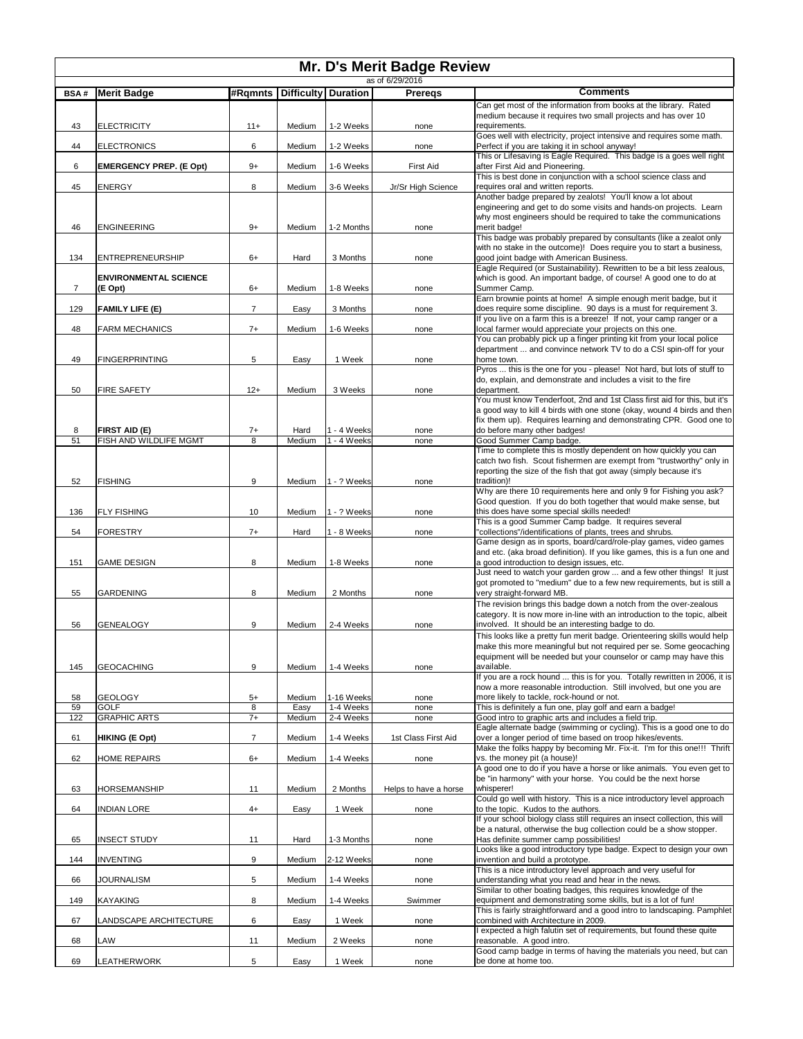| Mr. D's Merit Badge Review<br>as of 6/29/2016 |                                         |                |                |                            |                       |                                                                                                                                                                                                                      |  |
|-----------------------------------------------|-----------------------------------------|----------------|----------------|----------------------------|-----------------------|----------------------------------------------------------------------------------------------------------------------------------------------------------------------------------------------------------------------|--|
| <b>BSA#</b>                                   | <b>Merit Badge</b>                      | #Rqmnts        |                | Difficulty Duration        | <b>Preregs</b>        | <b>Comments</b>                                                                                                                                                                                                      |  |
|                                               |                                         |                |                |                            |                       | Can get most of the information from books at the library. Rated                                                                                                                                                     |  |
| 43                                            | <b>ELECTRICITY</b>                      | $11+$          | Medium         | 1-2 Weeks                  | none                  | medium because it requires two small projects and has over 10<br>requirements.                                                                                                                                       |  |
| 44                                            | <b>ELECTRONICS</b>                      | 6              | Medium         | 1-2 Weeks                  | none                  | Goes well with electricity, project intensive and requires some math.<br>Perfect if you are taking it in school anyway!                                                                                              |  |
| 6                                             | <b>EMERGENCY PREP. (E Opt)</b>          | $9+$           | Medium         | 1-6 Weeks                  | <b>First Aid</b>      | This or Lifesaving is Eagle Required. This badge is a goes well right<br>after First Aid and Pioneering.                                                                                                             |  |
| 45                                            | <b>ENERGY</b>                           | 8              | Medium         | 3-6 Weeks                  | Jr/Sr High Science    | This is best done in conjunction with a school science class and<br>requires oral and written reports.                                                                                                               |  |
| 46                                            | <b>ENGINEERING</b>                      | $9+$           | Medium         | 1-2 Months                 | none                  | Another badge prepared by zealots! You'll know a lot about<br>engineering and get to do some visits and hands-on projects. Learn<br>why most engineers should be required to take the communications<br>merit badge! |  |
| 134                                           | <b>ENTREPRENEURSHIP</b>                 | $6+$           | Hard           | 3 Months                   | none                  | This badge was probably prepared by consultants (like a zealot only<br>with no stake in the outcome)! Does require you to start a business,<br>good joint badge with American Business.                              |  |
|                                               |                                         |                |                |                            |                       | Eagle Required (or Sustainability). Rewritten to be a bit less zealous,                                                                                                                                              |  |
| $\overline{7}$                                | <b>ENVIRONMENTAL SCIENCE</b><br>(E Opt) | $6+$           | Medium         | 1-8 Weeks                  | none                  | which is good. An important badge, of course! A good one to do at<br>Summer Camp.                                                                                                                                    |  |
| 129                                           | FAMILY LIFE (E)                         | $\overline{7}$ | Easy           | 3 Months                   | none                  | Earn brownie points at home! A simple enough merit badge, but it<br>does require some discipline. 90 days is a must for requirement 3.                                                                               |  |
| 48                                            | <b>FARM MECHANICS</b>                   | $7+$           | Medium         | 1-6 Weeks                  | none                  | If you live on a farm this is a breeze! If not, your camp ranger or a<br>local farmer would appreciate your projects on this one.                                                                                    |  |
| 49                                            | <b>FINGERPRINTING</b>                   | 5              | Easy           | 1 Week                     | none                  | You can probably pick up a finger printing kit from your local police<br>department  and convince network TV to do a CSI spin-off for your<br>home town.                                                             |  |
|                                               |                                         |                |                |                            |                       | Pyros  this is the one for you - please! Not hard, but lots of stuff to<br>do, explain, and demonstrate and includes a visit to the fire                                                                             |  |
| 50                                            | FIRE SAFETY                             | $12+$          | Medium         | 3 Weeks                    | none                  | department.<br>You must know Tenderfoot, 2nd and 1st Class first aid for this, but it's                                                                                                                              |  |
|                                               |                                         |                |                |                            |                       | a good way to kill 4 birds with one stone (okay, wound 4 birds and then<br>fix them up). Requires learning and demonstrating CPR. Good one to                                                                        |  |
| 8<br>51                                       | FIRST AID (E)<br>FISH AND WILDLIFE MGMT | $7+$<br>8      | Hard<br>Medium | 1 - 4 Weeks<br>1 - 4 Weeks | none<br>none          | do before many other badges!<br>Good Summer Camp badge.                                                                                                                                                              |  |
|                                               |                                         |                |                |                            |                       | Time to complete this is mostly dependent on how quickly you can<br>catch two fish. Scout fishermen are exempt from "trustworthy" only in                                                                            |  |
| 52                                            | <b>FISHING</b>                          | 9              | Medium         | 1 - ? Weeks                | none                  | reporting the size of the fish that got away (simply because it's<br>tradition)!                                                                                                                                     |  |
| 136                                           | <b>FLY FISHING</b>                      | 10             | Medium         | 1 - ? Weeks                | none                  | Why are there 10 requirements here and only 9 for Fishing you ask?<br>Good question. If you do both together that would make sense, but<br>this does have some special skills needed!                                |  |
| 54                                            | FORESTRY                                | $7+$           | Hard           | 1 - 8 Weeks                | none                  | This is a good Summer Camp badge. It requires several<br>'collections"/identifications of plants, trees and shrubs.                                                                                                  |  |
|                                               |                                         |                |                |                            |                       | Game design as in sports, board/card/role-play games, video games<br>and etc. (aka broad definition). If you like games, this is a fun one and                                                                       |  |
| 151                                           | <b>GAME DESIGN</b>                      | 8              | Medium         | 1-8 Weeks                  | none                  | a good introduction to design issues, etc.<br>Just need to watch your garden grow  and a few other things! It just                                                                                                   |  |
| 55                                            | <b>GARDENING</b>                        | 8              | Medium         | 2 Months                   | none                  | got promoted to "medium" due to a few new requirements, but is still a<br>very straight-forward MB.                                                                                                                  |  |
| 56                                            | <b>GENEALOGY</b>                        | 9              | Medium         | 2-4 Weeks                  | none                  | The revision brings this badge down a notch from the over-zealous<br>category. It is now more in-line with an introduction to the topic, albeit<br>involved. It should be an interesting badge to do.                |  |
|                                               |                                         |                |                |                            |                       | This looks like a pretty fun merit badge. Orienteering skills would help<br>make this more meaningful but not required per se. Some geocaching                                                                       |  |
| 145                                           | <b>GEOCACHING</b>                       | 9              | Medium         | 1-4 Weeks                  | none                  | equipment will be needed but your counselor or camp may have this<br>available.                                                                                                                                      |  |
| 58                                            | <b>GEOLOGY</b>                          | $5+$           | Medium         | 1-16 Weeks                 | none                  | If you are a rock hound  this is for you. Totally rewritten in 2006, it is<br>now a more reasonable introduction. Still involved, but one you are<br>more likely to tackle, rock-hound or not.                       |  |
| 59                                            | <b>GOLF</b>                             | 8              | Easy           | 1-4 Weeks                  | none                  | This is definitely a fun one, play golf and earn a badge!                                                                                                                                                            |  |
| 122                                           | <b>GRAPHIC ARTS</b>                     | $7+$           | Medium         | 2-4 Weeks                  | none                  | Good intro to graphic arts and includes a field trip.<br>Eagle alternate badge (swimming or cycling). This is a good one to do                                                                                       |  |
| 61                                            | <b>HIKING (E Opt)</b>                   | $\overline{7}$ | Medium         | 1-4 Weeks                  | 1st Class First Aid   | over a longer period of time based on troop hikes/events.<br>Make the folks happy by becoming Mr. Fix-it. I'm for this one!!! Thrift                                                                                 |  |
| 62                                            | HOME REPAIRS                            | $6+$           | Medium         | 1-4 Weeks                  | none                  | vs. the money pit (a house)!<br>A good one to do if you have a horse or like animals. You even get to<br>be "in harmony" with your horse. You could be the next horse                                                |  |
| 63                                            | HORSEMANSHIP                            | 11             | Medium         | 2 Months                   | Helps to have a horse | whisperer!<br>Could go well with history. This is a nice introductory level approach                                                                                                                                 |  |
| 64                                            | <b>INDIAN LORE</b>                      | $4+$           | Easy           | 1 Week                     | none                  | to the topic. Kudos to the authors.<br>If your school biology class still requires an insect collection, this will                                                                                                   |  |
| 65                                            | <b>INSECT STUDY</b>                     | 11             | Hard           | 1-3 Months                 | none                  | be a natural, otherwise the bug collection could be a show stopper.<br>Has definite summer camp possibilities!                                                                                                       |  |
| 144                                           | <b>INVENTING</b>                        | 9              | Medium         | 2-12 Weeks                 | none                  | Looks like a good introductory type badge. Expect to design your own<br>invention and build a prototype.                                                                                                             |  |
| 66                                            | JOURNALISM                              | 5              | Medium         | 1-4 Weeks                  | none                  | This is a nice introductory level approach and very useful for<br>understanding what you read and hear in the news.                                                                                                  |  |
| 149                                           | <b>KAYAKING</b>                         | 8              | Medium         | 1-4 Weeks                  | Swimmer               | Similar to other boating badges, this requires knowledge of the<br>equipment and demonstrating some skills, but is a lot of fun!                                                                                     |  |
| 67                                            | LANDSCAPE ARCHITECTURE                  | 6              | Easy           | 1 Week                     | none                  | This is fairly straightforward and a good intro to landscaping. Pamphlet<br>combined with Architecture in 2009.                                                                                                      |  |
| 68                                            | LAW                                     | 11             | Medium         | 2 Weeks                    | none                  | expected a high falutin set of requirements, but found these quite<br>reasonable. A good intro.                                                                                                                      |  |
| 69                                            |                                         | 5              |                | 1 Week                     |                       | Good camp badge in terms of having the materials you need, but can<br>be done at home too.                                                                                                                           |  |
|                                               | LEATHERWORK                             |                | Easy           |                            | none                  |                                                                                                                                                                                                                      |  |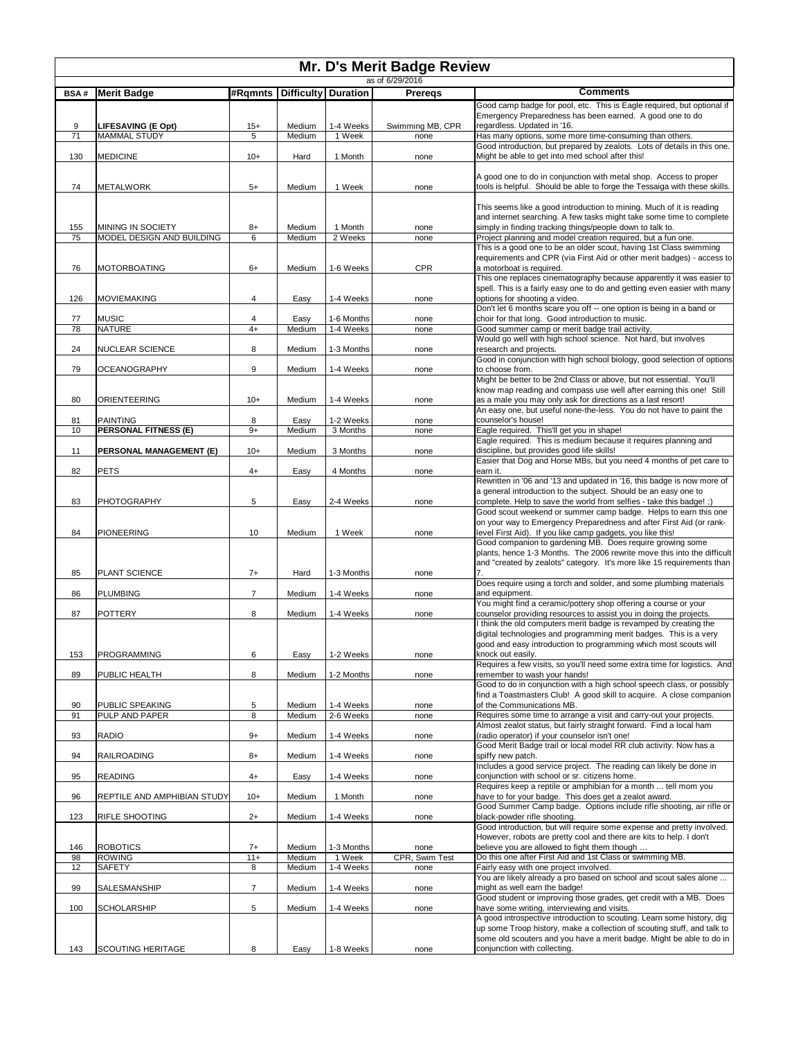| Mr. D's Merit Badge Review<br>as of 6/29/2016 |                                   |                |                  |                            |                  |                                                                                                                                                                                                                                                                                     |  |
|-----------------------------------------------|-----------------------------------|----------------|------------------|----------------------------|------------------|-------------------------------------------------------------------------------------------------------------------------------------------------------------------------------------------------------------------------------------------------------------------------------------|--|
| <b>BSA#</b>                                   | <b>Merit Badge</b>                | #Rqmnts        |                  | <b>Difficulty Duration</b> | <b>Preregs</b>   | <b>Comments</b>                                                                                                                                                                                                                                                                     |  |
|                                               |                                   |                |                  |                            |                  | Good camp badge for pool, etc. This is Eagle required, but optional if                                                                                                                                                                                                              |  |
| 9                                             | LIFESAVING (E Opt)                | $15+$          | Medium           | 1-4 Weeks                  | Swimming MB, CPR | Emergency Preparedness has been earned. A good one to do<br>regardless. Updated in '16.                                                                                                                                                                                             |  |
| 71                                            | <b>MAMMAL STUDY</b>               | 5              | Medium           | 1 Week                     | none             | Has many options, some more time-consuming than others.                                                                                                                                                                                                                             |  |
| 130                                           | <b>MEDICINE</b>                   | $10+$          | Hard             | 1 Month                    | none             | Good introduction, but prepared by zealots. Lots of details in this one.<br>Might be able to get into med school after this!                                                                                                                                                        |  |
| 74                                            | <b>METALWORK</b>                  | $5+$           | Medium           | 1 Week                     | none             | A good one to do in conjunction with metal shop. Access to proper<br>tools is helpful. Should be able to forge the Tessaiga with these skills.                                                                                                                                      |  |
|                                               |                                   |                |                  |                            |                  |                                                                                                                                                                                                                                                                                     |  |
| 155                                           | MINING IN SOCIETY                 | 8+             | Medium           | 1 Month                    | none             | This seems like a good introduction to mining. Much of it is reading<br>and internet searching. A few tasks might take some time to complete<br>simply in finding tracking things/people down to talk to.                                                                           |  |
| 75                                            | MODEL DESIGN AND BUILDING         | 6              | Medium           | 2 Weeks                    | none             | Project planning and model creation required, but a fun one.                                                                                                                                                                                                                        |  |
| 76                                            | MOTORBOATING                      | $6+$           | Medium           | 1-6 Weeks                  | <b>CPR</b>       | This is a good one to be an older scout, having 1st Class swimming<br>requirements and CPR (via First Aid or other merit badges) - access to<br>a motorboat is required.                                                                                                            |  |
|                                               |                                   |                |                  |                            |                  | This one replaces cinematography because apparently it was easier to                                                                                                                                                                                                                |  |
| 126                                           | MOVIEMAKING                       | 4              | Easy             | 1-4 Weeks                  | none             | spell. This is a fairly easy one to do and getting even easier with many<br>options for shooting a video.                                                                                                                                                                           |  |
| 77                                            | <b>MUSIC</b>                      | 4              | Easy             | 1-6 Months                 | none             | Don't let 6 months scare you off -- one option is being in a band or<br>choir for that long. Good introduction to music.                                                                                                                                                            |  |
| 78                                            | <b>NATURE</b>                     | $4+$           | Medium           | 1-4 Weeks                  | none             | Good summer camp or merit badge trail activity.                                                                                                                                                                                                                                     |  |
|                                               |                                   |                |                  |                            |                  | Would go well with high school science. Not hard, but involves                                                                                                                                                                                                                      |  |
| 24                                            | NUCLEAR SCIENCE                   | 8              | Medium           | 1-3 Months                 | none             | research and projects.<br>Good in conjunction with high school biology, good selection of options                                                                                                                                                                                   |  |
| 79                                            | OCEANOGRAPHY                      | 9              | Medium           | 1-4 Weeks                  | none             | to choose from.                                                                                                                                                                                                                                                                     |  |
|                                               |                                   |                |                  |                            |                  | Might be better to be 2nd Class or above, but not essential. You'll<br>know map reading and compass use well after earning this one! Still                                                                                                                                          |  |
| 80                                            | ORIENTEERING                      | $10+$          | Medium           | 1-4 Weeks                  | none             | as a male you may only ask for directions as a last resort!<br>An easy one, but useful none-the-less. You do not have to paint the                                                                                                                                                  |  |
| 81                                            | <b>PAINTING</b>                   | 8              | Easy             | 1-2 Weeks                  | none             | counselor's house!                                                                                                                                                                                                                                                                  |  |
| 10                                            | PERSONAL FITNESS (E)              | $9+$           | Medium           | 3 Months                   | none             | Eagle required. This'll get you in shape!                                                                                                                                                                                                                                           |  |
| 11                                            | PERSONAL MANAGEMENT (E)           | $10+$          | Medium           | 3 Months                   | none             | Eagle required. This is medium because it requires planning and<br>discipline, but provides good life skills!<br>Easier that Dog and Horse MBs, but you need 4 months of pet care to                                                                                                |  |
| 82                                            | PETS                              | $4+$           | Easy             | 4 Months                   | none             | earn it.                                                                                                                                                                                                                                                                            |  |
| 83                                            | PHOTOGRAPHY                       | 5              | Easy             | 2-4 Weeks                  | none             | Rewritten in '06 and '13 and updated in '16, this badge is now more of<br>a general introduction to the subject. Should be an easy one to<br>complete. Help to save the world from selfies - take this badge! ;)<br>Good scout weekend or summer camp badge. Helps to earn this one |  |
| 84                                            | <b>PIONEERING</b>                 | 10             | Medium           | 1 Week                     | none             | on your way to Emergency Preparedness and after First Aid (or rank-<br>level First Aid). If you like camp gadgets, you like this!                                                                                                                                                   |  |
|                                               |                                   |                |                  |                            |                  | Good companion to gardening MB. Does require growing some<br>plants, hence 1-3 Months. The 2006 rewrite move this into the difficult                                                                                                                                                |  |
| 85                                            | PLANT SCIENCE                     | $7+$           | Hard             | 1-3 Months                 | none             | and "created by zealots" category. It's more like 15 requirements than                                                                                                                                                                                                              |  |
| 86                                            | <b>PLUMBING</b>                   | $\overline{7}$ | Medium           | 1-4 Weeks                  | none             | Does require using a torch and solder, and some plumbing materials<br>and equipment.                                                                                                                                                                                                |  |
| 87                                            | <b>POTTERY</b>                    | 8              | Medium           | 1-4 Weeks                  | none             | You might find a ceramic/pottery shop offering a course or your<br>counselor providing resources to assist you in doing the projects.                                                                                                                                               |  |
|                                               |                                   |                |                  |                            |                  | think the old computers merit badge is revamped by creating the<br>digital technologies and programming merit badges. This is a very                                                                                                                                                |  |
| 153                                           | PROGRAMMING                       | 6              | Easy             | 1-2 Weeks                  | none             | good and easy introduction to programming which most scouts will<br>knock out easily.                                                                                                                                                                                               |  |
| 89                                            | PUBLIC HEALTH                     | 8              | Medium           | 1-2 Months                 | none             | Requires a few visits, so you'll need some extra time for logistics. And<br>remember to wash your hands!                                                                                                                                                                            |  |
|                                               |                                   |                |                  |                            |                  | Good to do in conjunction with a high school speech class, or possibly<br>find a Toastmasters Club! A good skill to acquire. A close companion                                                                                                                                      |  |
| 90<br>91                                      | PUBLIC SPEAKING<br>PULP AND PAPER | 5<br>8         | Medium<br>Medium | 1-4 Weeks<br>2-6 Weeks     | none<br>none     | of the Communications MB.<br>Requires some time to arrange a visit and carry-out your projects.                                                                                                                                                                                     |  |
| 93                                            | <b>RADIO</b>                      | $9+$           | Medium           | 1-4 Weeks                  | none             | Almost zealot status, but fairly straight forward. Find a local ham<br>(radio operator) if your counselor isn't one!                                                                                                                                                                |  |
| 94                                            | RAILROADING                       | $8+$           |                  | 1-4 Weeks                  |                  | Good Merit Badge trail or local model RR club activity. Now has a<br>spiffy new patch.                                                                                                                                                                                              |  |
|                                               |                                   |                | Medium           |                            | none             | Includes a good service project. The reading can likely be done in                                                                                                                                                                                                                  |  |
| 95                                            | <b>READING</b>                    | $4+$           | Easy             | 1-4 Weeks                  | none             | conjunction with school or sr. citizens home.<br>Requires keep a reptile or amphibian for a month  tell mom you                                                                                                                                                                     |  |
| 96                                            | REPTILE AND AMPHIBIAN STUDY       | $10+$          | Medium           | 1 Month                    | none             | have to for your badge. This does get a zealot award.<br>Good Summer Camp badge. Options include rifle shooting, air rifle or                                                                                                                                                       |  |
| 123                                           | RIFLE SHOOTING                    | $2+$           | Medium           | 1-4 Weeks                  | none             | black-powder rifle shooting.<br>Good introduction, but will require some expense and pretty involved.                                                                                                                                                                               |  |
| 146                                           | <b>ROBOTICS</b>                   | $7+$           | Medium           | 1-3 Months                 | none             | However, robots are pretty cool and there are kits to help. I don't<br>believe you are allowed to fight them though                                                                                                                                                                 |  |
| 98                                            | <b>ROWING</b>                     | $11 +$         | Medium           | 1 Week                     | CPR, Swim Test   | Do this one after First Aid and 1st Class or swimming MB.                                                                                                                                                                                                                           |  |
| 12                                            | SAFETY                            | 8              | Medium           | 1-4 Weeks                  | none             | Fairly easy with one project involved.<br>You are likely already a pro based on school and scout sales alone                                                                                                                                                                        |  |
| 99                                            | SALESMANSHIP                      | $\overline{7}$ | Medium           | 1-4 Weeks                  | none             | might as well earn the badge!<br>Good student or improving those grades, get credit with a MB. Does                                                                                                                                                                                 |  |
| 100                                           | <b>SCHOLARSHIP</b>                | 5              | Medium           | 1-4 Weeks                  | none             | have some writing, interviewing and visits.                                                                                                                                                                                                                                         |  |
|                                               |                                   |                |                  |                            |                  | A good introspective introduction to scouting. Learn some history, dig<br>up some Troop history, make a collection of scouting stuff, and talk to<br>some old scouters and you have a merit badge. Might be able to do in                                                           |  |
| 143                                           | SCOUTING HERITAGE                 | 8              | Easy             | 1-8 Weeks                  | none             | conjunction with collecting.                                                                                                                                                                                                                                                        |  |